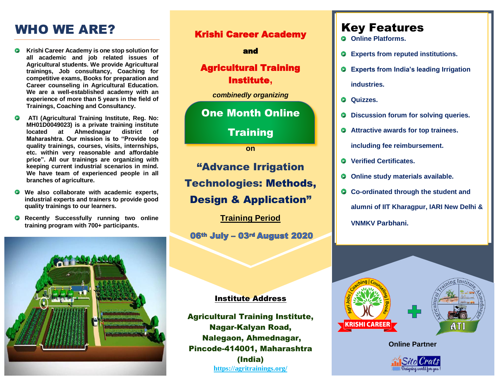## WHO WE ARE?

- **Krishi Career Academy is one stop solution for all academic and job related issues of Agricultural students. We provide Agricultural trainings, Job consultancy, Coaching for competitive exams, Books for preparation and Career counseling in Agricultural Education. We are a well-established academy with an experience of more than 5 years in the field of Trainings, Coaching and Consultancy.**
- **ATI (Agricultural Training Institute, Reg. No: MH01D0049023) is a private training institute located at Ahmednagar district of Maharashtra. Our mission is to "Provide top quality trainings, courses, visits, internships, etc. within very reasonable and affordable price". All our trainings are organizing with keeping current industrial scenarios in mind. We have team of experienced people in all branches of agriculture.**
- $\bullet$ **We also collaborate with academic experts, industrial experts and trainers to provide good quality trainings to our learners.**
- **Recently Successfully running two online training program with 700+ participants.**



#### Krishi Career Academy

#### and

### Agricultural Training Institute**,**

*combinedly organizing*

### One Month Online

**Training** 

**on**

"Advance Irrigation Technologies: Methods, Design & Application"

**Training Period**

06th July - 03rd August 2020

#### Institute Address

Agricultural Training Institute, Nagar-Kalyan Road, Nalegaon, Ahmednagar, Pincode-414001, Maharashtra (India) **<https://agritrainings.org/>**

## Key Features

- **Online Platforms.**
- **Experts from reputed institutions.**
- **Experts from India's leading Irrigation industries.**
- **Q** Quizzes.
- $\bullet$  Discussion forum for solving queries.
- **Attractive awards for top trainees.**

**including fee reimbursement.**

- **Verified Certificates.**
- **O** Online study materials available.
- **Co-ordinated through the student and alumni of IIT Kharagpur, IARI New Delhi & VNMKV Parbhani.**



**Online Partner**